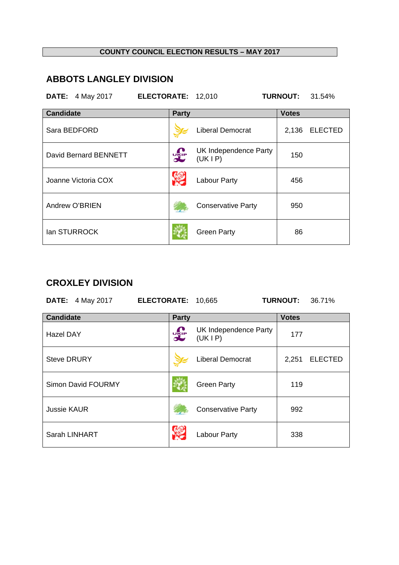#### **COUNTY COUNCIL ELECTION RESULTS – MAY 2017**

# **ABBOTS LANGLEY DIVISION**

|                  | <b>DATE:</b> 4 May 2017 | ELECTORATE: 12,010 |              |                                 | <b>TURNOUT:</b> | 31.54%         |
|------------------|-------------------------|--------------------|--------------|---------------------------------|-----------------|----------------|
| <b>Candidate</b> |                         |                    | <b>Party</b> |                                 | <b>Votes</b>    |                |
|                  | Sara BEDFORD            |                    |              | <b>Liberal Democrat</b>         | 2,136           | <b>ELECTED</b> |
|                  | David Bernard BENNETT   |                    | <b>UKIP</b>  | UK Independence Party<br>(UKIP) | 150             |                |
|                  | Joanne Victoria COX     |                    |              | <b>Labour Party</b>             | 456             |                |
|                  | Andrew O'BRIEN          |                    |              | <b>Conservative Party</b>       | 950             |                |
|                  | lan STURROCK            |                    |              | <b>Green Party</b>              | 86              |                |

### **CROXLEY DIVISION**

|                    | <b>DATE:</b> 4 May 2017 | <b>ELECTORATE:</b> |              | 10,665                          | <b>TURNOUT:</b> | 36.71%         |
|--------------------|-------------------------|--------------------|--------------|---------------------------------|-----------------|----------------|
| <b>Candidate</b>   |                         |                    | <b>Party</b> |                                 | <b>Votes</b>    |                |
| <b>Hazel DAY</b>   |                         |                    | <b>DELP</b>  | UK Independence Party<br>(UKIP) | 177             |                |
| <b>Steve DRURY</b> |                         |                    |              | <b>Liberal Democrat</b>         | 2,251           | <b>ELECTED</b> |
|                    | Simon David FOURMY      |                    |              | <b>Green Party</b>              | 119             |                |
| <b>Jussie KAUR</b> |                         |                    |              | <b>Conservative Party</b>       | 992             |                |
| Sarah LINHART      |                         |                    |              | <b>Labour Party</b>             | 338             |                |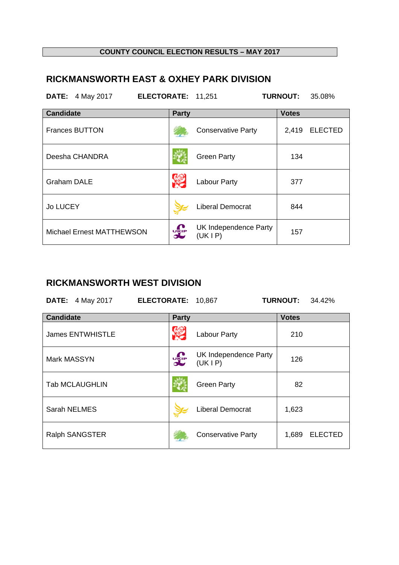#### **COUNTY COUNCIL ELECTION RESULTS – MAY 2017**

# **RICKMANSWORTH EAST & OXHEY PARK DIVISION**

| <b>DATE:</b> 4 May 2017   | ELECTORATE: 11,251 |                                 | <b>TURNOUT:</b> | 35.08%         |
|---------------------------|--------------------|---------------------------------|-----------------|----------------|
| <b>Candidate</b>          | <b>Party</b>       |                                 | <b>Votes</b>    |                |
| <b>Frances BUTTON</b>     |                    | <b>Conservative Party</b>       | 2,419           | <b>ELECTED</b> |
| Deesha CHANDRA            |                    | <b>Green Party</b>              | 134             |                |
| <b>Graham DALE</b>        |                    | Labour Party                    | 377             |                |
| <b>Jo LUCEY</b>           |                    | <b>Liberal Democrat</b>         | 844             |                |
| Michael Ernest MATTHEWSON | <b>UKIP</b>        | UK Independence Party<br>(UKIP) | 157             |                |

### **RICKMANSWORTH WEST DIVISION**

| <b>DATE:</b> 4 May 2017 | ELECTORATE: 10,867 |                                 | <b>TURNOUT:</b><br>34.42% |
|-------------------------|--------------------|---------------------------------|---------------------------|
| <b>Candidate</b>        | <b>Party</b>       |                                 | <b>Votes</b>              |
| <b>James ENTWHISTLE</b> |                    | <b>Labour Party</b>             | 210                       |
| Mark MASSYN             | <b>UKIP</b>        | UK Independence Party<br>(UKIP) | 126                       |
| <b>Tab MCLAUGHLIN</b>   |                    | <b>Green Party</b>              | 82                        |
| Sarah NELMES            |                    | <b>Liberal Democrat</b>         | 1,623                     |
| Ralph SANGSTER          |                    | <b>Conservative Party</b>       | <b>ELECTED</b><br>1,689   |